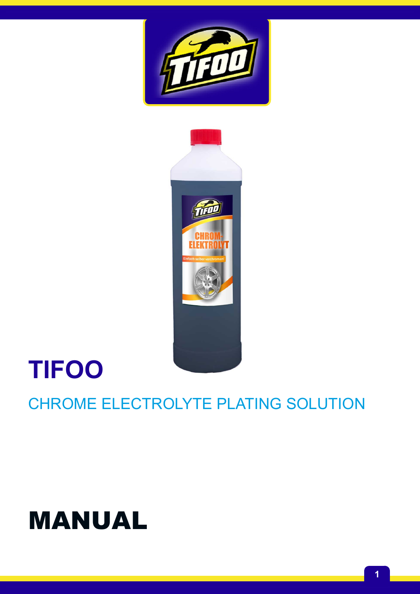# MANUAL

# CHROME ELECTROLYTE PLATING SOLUTION

# **TIFOO**



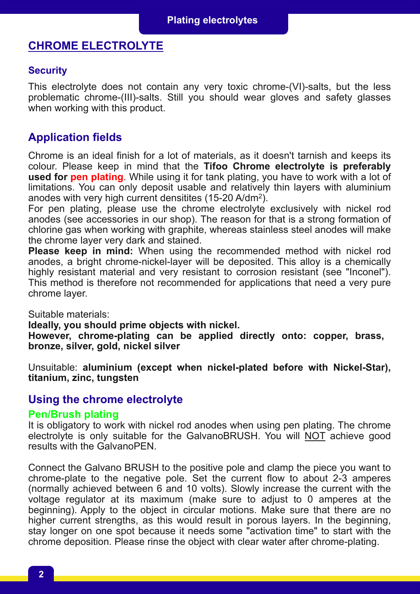# **CHROME ELECTROLYTE**

#### **Security**

This electrolyte does not contain any very toxic chrome-(VI)-salts, but the less problematic chrome-(III)-salts. Still you should wear gloves and safety glasses when working with this product.

## **Application fields**

Chrome is an ideal finish for a lot of materials, as it doesn't tarnish and keeps its colour. Please keep in mind that the **Tifoo Chrome electrolyte is preferably used for pen plating**. While using it for tank plating, you have to work with a lot of limitations. You can only deposit usable and relatively thin layers with aluminium anodes with very high current densitites (15-20 A/dm<sup>2</sup>).

For pen plating, please use the chrome electrolyte exclusively with nickel rod anodes (see accessories in our shop). The reason for that is a strong formation of chlorine gas when working with graphite, whereas stainless steel anodes will make the chrome layer very dark and stained.

**Please keep in mind:** When using the recommended method with nickel rod anodes, a bright chrome-nickel-layer will be deposited. This alloy is a chemically highly resistant material and very resistant to corrosion resistant (see "Inconel"). This method is therefore not recommended for applications that need a very pure chrome layer.

Suitable materials:

**Ideally, you should prime objects with nickel.**

**However, chromeplating can be applied directly onto: copper, brass, bronze, silver, gold, nickel silver**

**Unsuitable: aluminium (except when nickel-plated before with Nickel-Star), titanium, zinc, tungsten**

### **Using the chrome electrolyte**

#### **Pen/Brush plating**

It is obligatory to work with nickel rod anodes when using pen plating. The chrome electrolyte is only suitable for the GalvanoBRUSH. You will NOT achieve good results with the GalvanoPEN.

Connect the Galvano BRUSH to the positive pole and clamp the piece you want to chrome-plate to the negative pole. Set the current flow to about  $2-3$  amperes (normally achieved between 6 and 10 volts). Slowly increase the current with the voltage regulator at its maximum (make sure to adjust to 0 amperes at the beginning). Apply to the object in circular motions. Make sure that there are no higher current strengths, as this would result in porous layers. In the beginning, stay longer on one spot because it needs some "activation time" to start with the chrome deposition. Please rinse the object with clear water after chrome-plating.